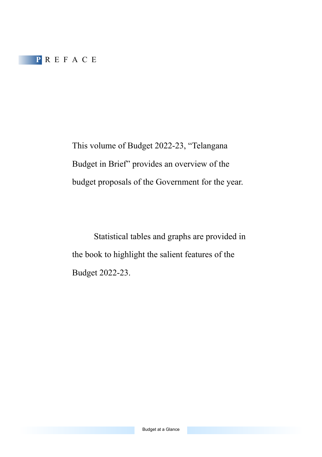This volume of Budget 2022-23, "Telangana Budget in Brief" provides an overview of the budget proposals of the Government for the year.

 Statistical tables and graphs are provided in the book to highlight the salient features of the Budget 2022-23.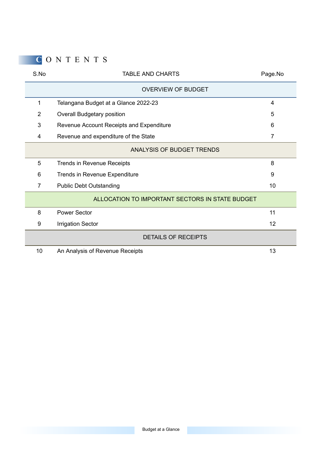# **C** O N T E N T S

| S.No | <b>TABLE AND CHARTS</b>                         | Page.No |  |  |  |  |
|------|-------------------------------------------------|---------|--|--|--|--|
|      | <b>OVERVIEW OF BUDGET</b>                       |         |  |  |  |  |
| 1    | Telangana Budget at a Glance 2022-23            | 4       |  |  |  |  |
| 2    | Overall Budgetary position                      | 5       |  |  |  |  |
| 3    | Revenue Account Receipts and Expenditure        | 6       |  |  |  |  |
| 4    | Revenue and expenditure of the State            | 7       |  |  |  |  |
|      | ANALYSIS OF BUDGET TRENDS                       |         |  |  |  |  |
| 5    | Trends in Revenue Receipts                      | 8       |  |  |  |  |
| 6    | Trends in Revenue Expenditure                   |         |  |  |  |  |
| 7    | <b>Public Debt Outstanding</b>                  |         |  |  |  |  |
|      | ALLOCATION TO IMPORTANT SECTORS IN STATE BUDGET |         |  |  |  |  |
| 8    | Power Sector                                    | 11      |  |  |  |  |
| 9    | <b>Irrigation Sector</b>                        | 12      |  |  |  |  |
|      | <b>DETAILS OF RECEIPTS</b>                      |         |  |  |  |  |
| 10   | An Analysis of Revenue Receipts                 | 13      |  |  |  |  |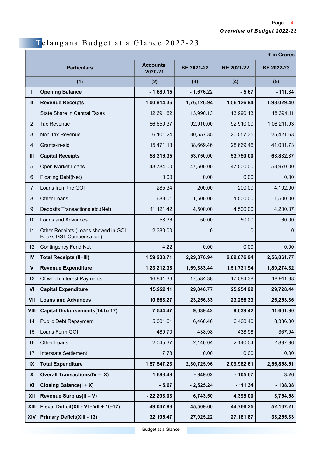## Telangana Budget at a Glance 2022-23

|                | ₹ in Crores                                                           |                            |                   |             |             |  |
|----------------|-----------------------------------------------------------------------|----------------------------|-------------------|-------------|-------------|--|
|                | <b>Particulars</b>                                                    | <b>Accounts</b><br>2020-21 | <b>BE 2021-22</b> | RE 2021-22  | BE 2022-23  |  |
|                | (1)                                                                   | (2)                        | (3)               | (4)         | (5)         |  |
| г              | <b>Opening Balance</b>                                                | - 1.689.15                 | $-1,676.22$       | $-5.67$     | $-111.34$   |  |
| Ш              | <b>Revenue Receipts</b>                                               | 1,00,914.36                | 1,76,126.94       | 1,56,126.94 | 1,93,029.40 |  |
| 1              | <b>State Share in Central Taxes</b>                                   | 12,691.62                  | 13,990.13         | 13,990.13   | 18,394.11   |  |
| 2              | <b>Tax Revenue</b>                                                    | 66,650.37                  | 92,910.00         | 92,910.00   | 1,08,211.93 |  |
| 3              | Non Tax Revenue                                                       | 6,101.24                   | 30.557.35         | 20,557.35   | 25,421.63   |  |
| 4              | Grants-in-aid                                                         | 15,471.13                  | 38,669.46         | 28,669.46   | 41,001.73   |  |
| Ш              | <b>Capital Receipts</b>                                               | 58,316.35                  | 53,750.00         | 53,750.00   | 63,832.37   |  |
| 5              | Open Market Loans                                                     | 43,784.00                  | 47,500.00         | 47,500.00   | 53,970.00   |  |
| 6              | Floating Debt(Net)                                                    | 0.00                       | 0.00              | 0.00        | 0.00        |  |
| $\overline{7}$ | Loans from the GOI                                                    | 285.34                     | 200.00            | 200.00      | 4,102.00    |  |
| 8              | Other Loans                                                           | 683.01                     | 1,500.00          | 1,500.00    | 1,500.00    |  |
| 9              | Deposits Transactions etc.(Net)                                       | 11,121.42                  | 4,500.00          | 4,500.00    | 4,200.37    |  |
| 10             | Loans and Advances                                                    | 58.36                      | 50.00             | 50.00       | 60.00       |  |
| 11             | Other Receipts (Loans showed in GOI<br><b>Books GST Compensation)</b> | 2,380.00                   | $\mathbf{0}$      | 0           | 0           |  |
| 12             | <b>Contingency Fund Net</b>                                           | 4.22                       | 0.00              | 0.00        | 0.00        |  |
| IV             | <b>Total Receipts (II+III)</b>                                        | 1,59,230.71                | 2,29,876.94       | 2,09,876.94 | 2,56,861.77 |  |
| ۷              | <b>Revenue Expenditure</b>                                            | 1,23,212.38                | 1,69,383.44       | 1,51,731.94 | 1,89,274.82 |  |
| 13             | Of which Interest Payments                                            | 16,841.36                  | 17,584.38         | 17,584.38   | 18,911.88   |  |
| VI             | <b>Capital Expenditure</b>                                            | 15,922.11                  | 29,046.77         | 25,954.92   | 29,728.44   |  |
| VII            | <b>Loans and Advances</b>                                             | 10,868.27                  | 23,256.33         | 23,256.33   | 26,253.36   |  |
| VIII           | Capital Disbursements(14 to 17)                                       | 7,544.47                   | 9,039.42          | 9,039.42    | 11,601.90   |  |
| 14             | <b>Public Debt Repayment</b>                                          | 5,001.61                   | 6,460.40          | 6,460.40    | 8,336.00    |  |
| 15             | Loans Form GOI                                                        | 489.70                     | 438.98            | 438.98      | 367.94      |  |
| 16             | Other Loans                                                           | 2,045.37                   | 2,140.04          | 2,140.04    | 2,897.96    |  |
| 17             | Interstate Settlement                                                 | 7.78                       | 0.00              | 0.00        | 0.00        |  |
| IX             | <b>Total Expenditure</b>                                              | 1,57,547.23                | 2,30,725.96       | 2,09,982.61 | 2,56,858.51 |  |
| X              | <b>Overall Transactions(IV - IX)</b>                                  | 1,683.48                   | $-849.02$         | $-105.67$   | 3.26        |  |
| XI             | Closing Balance(I + X)                                                | $-5.67$                    | $-2,525.24$       | $-111.34$   | $-108.08$   |  |
| XII            | Revenue Surplus(II - V)                                               | $-22,298.03$               | 6,743.50          | 4,395.00    | 3,754.58    |  |
| XIII           | Fiscal Deficit(XII - VI - VII + 10-17)                                | 49,037.83                  | 45,509.60         | 44,766.25   | 52,167.21   |  |
| <b>XIV</b>     | <b>Primary Deficit(XIII - 13)</b>                                     | 32,196.47                  | 27,925.22         | 27,181.87   | 33,255.33   |  |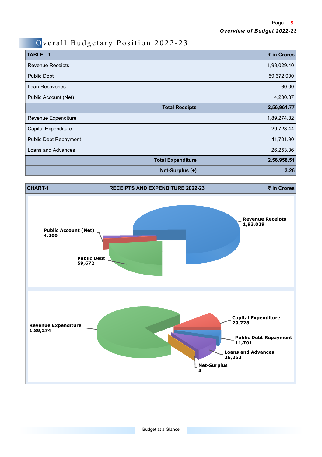### Overall Budgetary Position 2022-23

| TABLE - 1                    |                          | ₹ in Crores |
|------------------------------|--------------------------|-------------|
| <b>Revenue Receipts</b>      |                          | 1,93,029.40 |
| <b>Public Debt</b>           |                          | 59,672.000  |
| Loan Recoveries              |                          | 60.00       |
| Public Account (Net)         |                          | 4,200.37    |
|                              | <b>Total Receipts</b>    | 2,56,961.77 |
| Revenue Expenditure          |                          | 1,89,274.82 |
| <b>Capital Expenditure</b>   |                          | 29,728.44   |
| <b>Public Debt Repayment</b> |                          | 11,701.90   |
| Loans and Advances           |                          | 26,253.36   |
|                              | <b>Total Expenditure</b> | 2,56,958.51 |
|                              | Net-Surplus (+)          | 3.26        |

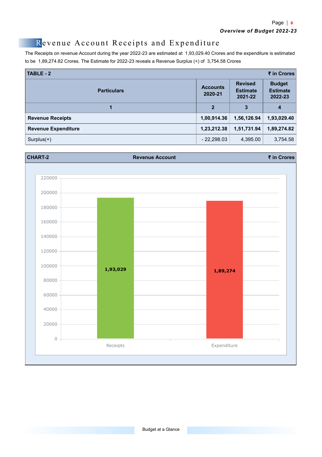#### Revenue Account Receipts and Expenditure

The Receipts on revenue Account during the year 2022-23 are estimated at 1,93,029.40 Crores and the expenditure is estimated to be 1,89,274.82 Crores. The Estimate for 2022-23 reveals a Revenue Surplus (+) of 3,754.58 Crores

| TABLE - 2                  |              |                                              |                                             |  |
|----------------------------|--------------|----------------------------------------------|---------------------------------------------|--|
| <b>Particulars</b>         |              | <b>Revised</b><br><b>Estimate</b><br>2021-22 | <b>Budget</b><br><b>Estimate</b><br>2022-23 |  |
| 1                          | $\mathbf{2}$ | 3                                            | 4                                           |  |
| <b>Revenue Receipts</b>    | 1,00,914.36  | 1,56,126.94                                  | 1,93,029.40                                 |  |
| <b>Revenue Expenditure</b> | 1,23,212.38  | 1.51.731.94                                  | 1,89,274.82                                 |  |
| $Surplus(+)$               | $-22,298.03$ | 4,395.00                                     | 3,754.58                                    |  |

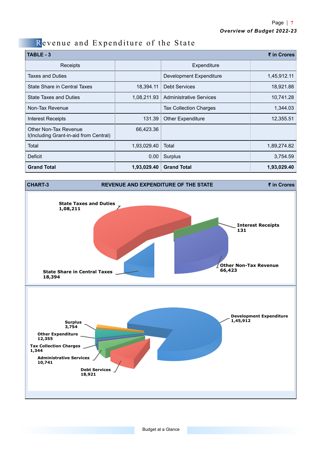### Revenue and Expenditure of the State

| <b>TABLE - 3</b>                                                | ₹ in Crores |                                |             |
|-----------------------------------------------------------------|-------------|--------------------------------|-------------|
| Receipts                                                        |             | Expenditure                    |             |
| <b>Taxes and Duties</b>                                         |             | Development Expenditure        | 1,45,912.11 |
| State Share in Central Taxes                                    | 18.394.11   | <b>Debt Services</b>           | 18,921.88   |
| <b>State Taxes and Duties</b>                                   | 1,08,211.93 | <b>Administrative Services</b> | 10,741.28   |
| Non-Tax Revenue                                                 |             | <b>Tax Collection Charges</b>  | 1,344.03    |
| <b>Interest Receipts</b>                                        | 131.39      | <b>Other Expenditure</b>       | 12,355.51   |
| Other Non-Tax Revenue<br>I(Including Grant-in-aid from Central) | 66,423.36   |                                |             |
| Total                                                           | 1,93,029.40 | Total                          | 1,89,274.82 |
| Deficit                                                         | 0.00        | Surplus                        | 3,754.59    |
| <b>Grand Total</b>                                              | 1,93,029.40 | <b>Grand Total</b>             | 1,93,029.40 |

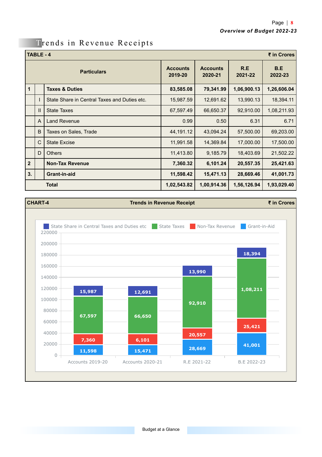#### Trends in Revenue Receipts

|                    | TABLE - 4<br>₹ in Crores |                                              |                            |                            |                |                |
|--------------------|--------------------------|----------------------------------------------|----------------------------|----------------------------|----------------|----------------|
| <b>Particulars</b> |                          |                                              | <b>Accounts</b><br>2019-20 | <b>Accounts</b><br>2020-21 | R.E<br>2021-22 | B.E<br>2022-23 |
| $\mathbf{1}$       |                          | <b>Taxes &amp; Duties</b>                    | 83,585.08                  | 79,341.99                  | 1,06,900.13    | 1,26,606.04    |
|                    |                          | State Share in Central Taxes and Duties etc. | 15,987.59                  | 12,691.62                  | 13,990.13      | 18,394.11      |
|                    | $\mathbf{H}$             | <b>State Taxes</b>                           | 67,597.49                  | 66,650.37                  | 92,910.00      | 1,08,211.93    |
|                    | A                        | <b>Land Revenue</b>                          | 0.99                       | 0.50                       | 6.31           | 6.71           |
|                    | B                        | <b>Taxes on Sales, Trade</b>                 | 44,191.12                  | 43,094.24                  | 57,500.00      | 69,203.00      |
|                    | C                        | <b>State Excise</b>                          | 11,991.58                  | 14,369.84                  | 17,000.00      | 17,500.00      |
|                    | D                        | <b>Others</b>                                | 11,413.80                  | 9,185.79                   | 18,403.69      | 21,502.22      |
| $\overline{2}$     |                          | <b>Non-Tax Revenue</b>                       | 7,360.32                   | 6,101.24                   | 20,557.35      | 25,421.63      |
| 3.                 |                          | Grant-in-aid                                 | 11,598.42                  | 15,471.13                  | 28,669.46      | 41,001.73      |
|                    |                          | <b>Total</b>                                 | 1,02,543.82                | 1,00,914.36                | 1,56,126.94    | 1,93,029.40    |

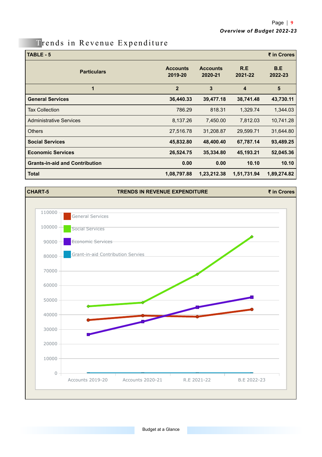### Trends in Revenue Expenditure

| TABLE - 5                             |                            |                            |                         | ₹ in Crores    |
|---------------------------------------|----------------------------|----------------------------|-------------------------|----------------|
| <b>Particulars</b>                    | <b>Accounts</b><br>2019-20 | <b>Accounts</b><br>2020-21 | R.E<br>2021-22          | B.E<br>2022-23 |
| 1                                     | $\overline{2}$             | 3                          | $\overline{\mathbf{4}}$ | 5              |
| <b>General Services</b>               | 36,440.33                  | 39,477.18                  | 38,741.48               | 43,730.11      |
| <b>Tax Collection</b>                 | 786.29                     | 818.31                     | 1,329.74                | 1,344.03       |
| <b>Administrative Services</b>        | 8,137.26                   | 7,450.00                   | 7,812.03                | 10,741.28      |
| <b>Others</b>                         | 27,516.78                  | 31,208.87                  | 29,599.71               | 31,644.80      |
| <b>Social Services</b>                | 45,832.80                  | 48,400.40                  | 67,787.14               | 93,489.25      |
| <b>Economic Services</b>              | 26,524.75                  | 35,334.80                  | 45,193.21               | 52,045.36      |
| <b>Grants-in-aid and Contribution</b> | 0.00                       | 0.00                       | 10.10                   | 10.10          |
| <b>Total</b>                          | 1,08,797.88                | 1,23,212.38                | 1,51,731.94             | 1,89,274.82    |

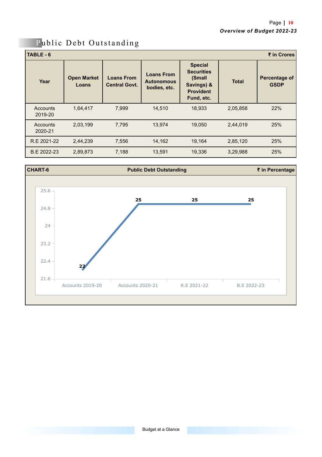| TABLE-6<br>₹ in Crores |                             |                                           |                                                        |                                                                                               |              |                              |  |  |
|------------------------|-----------------------------|-------------------------------------------|--------------------------------------------------------|-----------------------------------------------------------------------------------------------|--------------|------------------------------|--|--|
| Year                   | <b>Open Market</b><br>Loans | <b>Loans From</b><br><b>Central Govt.</b> | <b>Loans From</b><br><b>Autonomous</b><br>bodies, etc. | <b>Special</b><br><b>Securities</b><br>(Small<br>Savings) &<br><b>Provident</b><br>Fund, etc. | <b>Total</b> | Percentage of<br><b>GSDP</b> |  |  |
| Accounts<br>2019-20    | 1,64,417                    | 7.999                                     | 14.510                                                 | 18,933                                                                                        | 2,05,858     | 22%                          |  |  |
| Accounts<br>2020-21    | 2,03,199                    | 7.795                                     | 13.974                                                 | 19.050                                                                                        | 2,44,019     | 25%                          |  |  |
| R.E 2021-22            | 2,44,239                    | 7,556                                     | 14,162                                                 | 19,164                                                                                        | 2,85,120     | 25%                          |  |  |
| B.E 2022-23            | 2,89,873                    | 7,188                                     | 13,591                                                 | 19,336                                                                                        | 3,29,988     | 25%                          |  |  |



## Public Debt Outstanding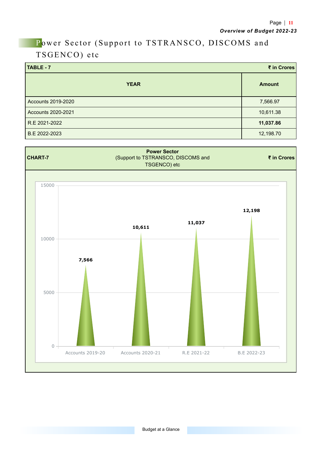## Power Sector (Support to TSTRANSCO, DISCOMS and TSGENCO) etc

| TABLE - 7<br>₹ in Crores |               |  |  |  |
|--------------------------|---------------|--|--|--|
| <b>YEAR</b>              | <b>Amount</b> |  |  |  |
| Accounts 2019-2020       | 7,566.97      |  |  |  |
| Accounts 2020-2021       | 10,611.38     |  |  |  |
| R.E 2021-2022            | 11,037.86     |  |  |  |
| B.E 2022-2023            | 12,198.70     |  |  |  |

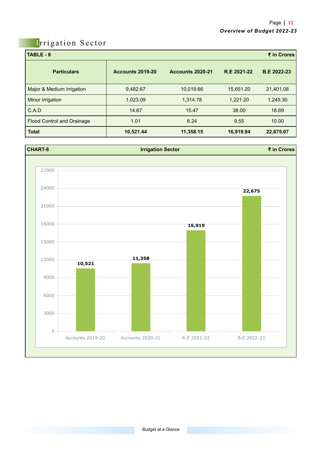### Irrigation Sector

| ₹ in Crores<br>TABLE-8            |                         |                         |             |                    |  |  |  |
|-----------------------------------|-------------------------|-------------------------|-------------|--------------------|--|--|--|
| <b>Particulars</b>                | <b>Accounts 2019-20</b> | <b>Accounts 2020-21</b> | R.E 2021-22 | <b>B.E 2022-23</b> |  |  |  |
| Major & Medium Irrigation         | 9,482.67                | 10,019.66               | 15,651.20   | 21,401.08          |  |  |  |
| Minor Irrigation                  | 1,023.09                | 1.314.78                | 1,221.20    | 1,245.30           |  |  |  |
| C.A.D                             | 14.67                   | 15.47                   | 38.00       | 18.69              |  |  |  |
| <b>Flood Control and Drainage</b> | 1.01                    | 8.24                    | 9.55        | 10.00              |  |  |  |
| <b>Total</b>                      | 10,521.44               | 11,358.15               | 16,919.94   | 22,675.07          |  |  |  |